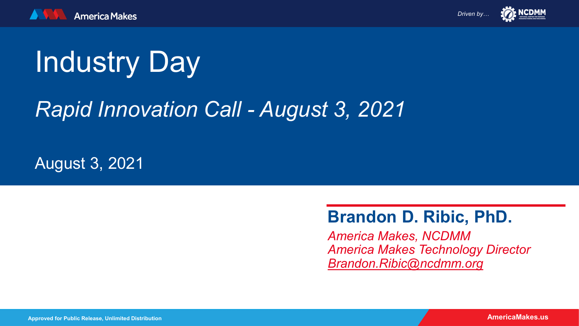

*Driven by…* 



# Industry Day

# *Rapid Innovation Call - August 3, 2021*

August 3, 2021

### **Brandon D. Ribic, PhD.**

*America Makes, NCDMM America Makes Technology Director [Brandon.Ribic@ncdmm.org](mailto:John.Wilczynski@ncdmm.org)*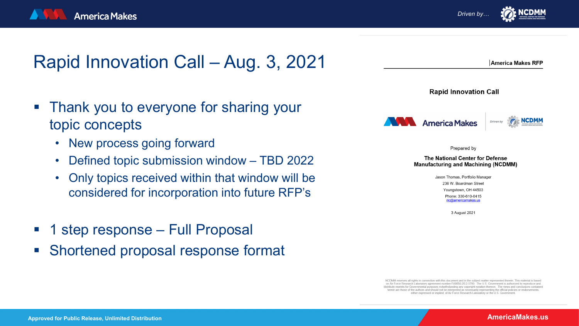

*Driven by…*



NCDMM reserves all rights in connection with this document and in the subject matter represented therein. This material is based on Air Force Research Laboratory agreement number FA8650-20-2-5700. The U.S. Government is authorized to reproduce and distribute reprints for Governmental purposes notwithstanding any copyright notation thereon. The views and conclusions contained herein are those of the authors and should not be interpreted as necessarily representing the official policies or endorsements, either expressed or implied, of Air Force Research Laboratory or the U.S. Governmen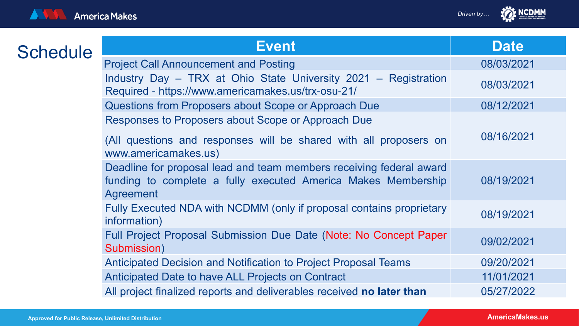

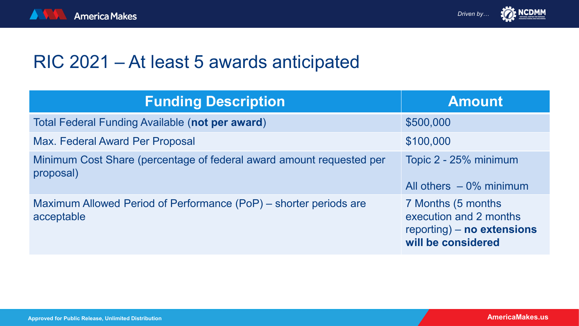





# RIC 2021 – At least 5 awards anticipated

| <b>Funding Description</b>                                                        | <b>Amount</b>                                                                                    |
|-----------------------------------------------------------------------------------|--------------------------------------------------------------------------------------------------|
| Total Federal Funding Available (not per award)                                   | \$500,000                                                                                        |
| <b>Max. Federal Award Per Proposal</b>                                            | \$100,000                                                                                        |
| Minimum Cost Share (percentage of federal award amount requested per<br>proposal) | Topic 2 - 25% minimum<br>All others $-0\%$ minimum                                               |
| Maximum Allowed Period of Performance (PoP) – shorter periods are<br>acceptable   | 7 Months (5 months<br>execution and 2 months<br>reporting) - no extensions<br>will be considered |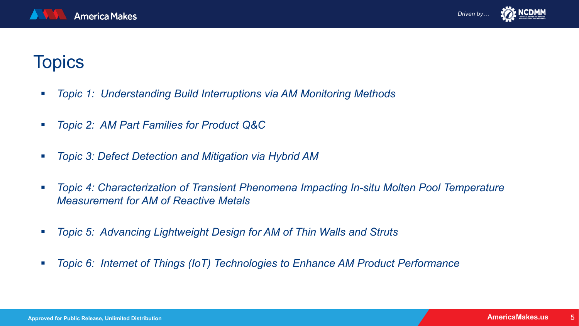

## **Topics**

- *Topic 1: Understanding Build Interruptions via AM Monitoring Methods*
- *Topic 2: AM Part Families for Product Q&C*
- *Topic 3: Defect Detection and Mitigation via Hybrid AM*
- **Topic 4: Characterization of Transient Phenomena Impacting In-situ Molten Pool Temperature** *Measurement for AM of Reactive Metals*
- *Topic 5: Advancing Lightweight Design for AM of Thin Walls and Struts*
- *Topic 6: Internet of Things (IoT) Technologies to Enhance AM Product Performance*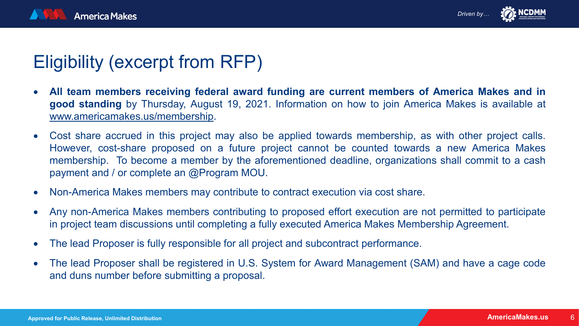



# Eligibility (excerpt from RFP)

- **All team members receiving federal award funding are current members of America Makes and in good standing** by Thursday, August 19, 2021. Information on how to join America Makes is available at [www.americamakes.us/membership](http://www.americamakes.us/membership).
- Cost share accrued in this project may also be applied towards membership, as with other project calls. However, cost-share proposed on a future project cannot be counted towards a new America Makes membership. To become a member by the aforementioned deadline, organizations shall commit to a cash payment and / or complete an @Program MOU.
- Non-America Makes members may contribute to contract execution via cost share.
- Any non-America Makes members contributing to proposed effort execution are not permitted to participate in project team discussions until completing a fully executed America Makes Membership Agreement.
- The lead Proposer is fully responsible for all project and subcontract performance.
- The lead Proposer shall be registered in U.S. System for Award Management (SAM) and have a cage code and duns number before submitting a proposal.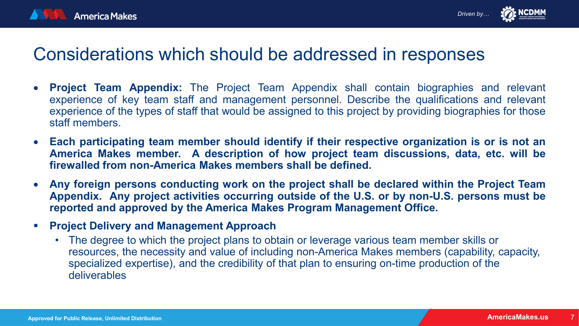



### Considerations which should be addressed in responses

- **Project Team Appendix:** The Project Team Appendix shall contain biographies and relevant experience of key team staff and management personnel. Describe the qualifications and relevant experience of the types of staff that would be assigned to this project by providing biographies for those staff members.
- **Each participating team member should identify if their respective organization is or is not an America Makes member. A description of how project team discussions, data, etc. will be firewalled from non-America Makes members shall be defined.**
- **Any foreign persons conducting work on the project shall be declared within the Project Team Appendix. Any project activities occurring outside of the U.S. or by non-U.S. persons must be reported and approved by the America Makes Program Management Office.**
- **Project Delivery and Management Approach** 
	- The degree to which the project plans to obtain or leverage various team member skills or resources, the necessity and value of including non-America Makes members (capability, capacity, specialized expertise), and the credibility of that plan to ensuring on-time production of the deliverables

7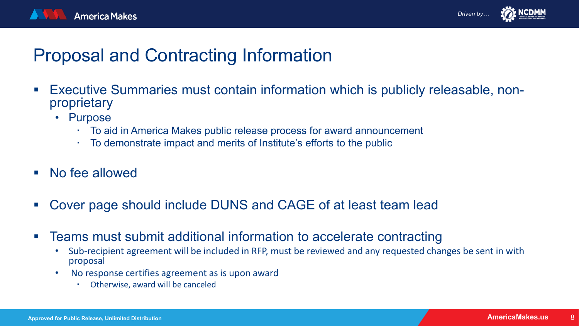



## Proposal and Contracting Information

- **Executive Summaries must contain information which is publicly releasable, non-** proprietary
	- Purpose
		- To aid in America Makes public release process for award announcement
		- To demonstrate impact and merits of Institute's efforts to the public
- No fee allowed
- Cover page should include DUNS and CAGE of at least team lead
- Teams must submit additional information to accelerate contracting
	- Sub-recipient agreement will be included in RFP, must be reviewed and any requested changes be sent in with proposal
	- No response certifies agreement as is upon award
		- Otherwise, award will be canceled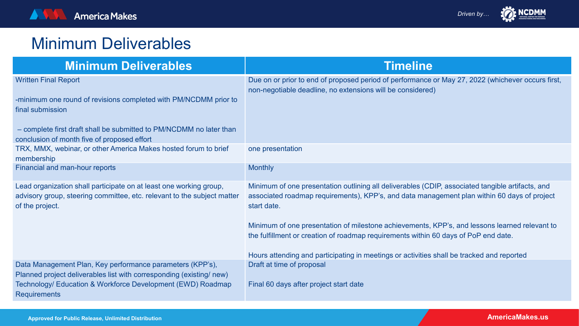### Minimum Deliverables

| <b>Minimum Deliverables</b>                                                                                                                                                                                                               | <b>Timeline</b>                                                                                                                                                                                                                                                                                                                                                                                                                                                                                     |
|-------------------------------------------------------------------------------------------------------------------------------------------------------------------------------------------------------------------------------------------|-----------------------------------------------------------------------------------------------------------------------------------------------------------------------------------------------------------------------------------------------------------------------------------------------------------------------------------------------------------------------------------------------------------------------------------------------------------------------------------------------------|
| <b>Written Final Report</b><br>-minimum one round of revisions completed with PM/NCDMM prior to<br>final submission<br>- complete first draft shall be submitted to PM/NCDMM no later than<br>conclusion of month five of proposed effort | Due on or prior to end of proposed period of performance or May 27, 2022 (whichever occurs first,<br>non-negotiable deadline, no extensions will be considered)                                                                                                                                                                                                                                                                                                                                     |
| TRX, MMX, webinar, or other America Makes hosted forum to brief<br>membership                                                                                                                                                             | one presentation                                                                                                                                                                                                                                                                                                                                                                                                                                                                                    |
| Financial and man-hour reports                                                                                                                                                                                                            | <b>Monthly</b>                                                                                                                                                                                                                                                                                                                                                                                                                                                                                      |
| Lead organization shall participate on at least one working group,<br>advisory group, steering committee, etc. relevant to the subject matter<br>of the project.                                                                          | Minimum of one presentation outlining all deliverables (CDIP, associated tangible artifacts, and<br>associated roadmap requirements), KPP's, and data management plan within 60 days of project<br>start date.<br>Minimum of one presentation of milestone achievements, KPP's, and lessons learned relevant to<br>the fulfillment or creation of roadmap requirements within 60 days of PoP end date.<br>Hours attending and participating in meetings or activities shall be tracked and reported |
| Data Management Plan, Key performance parameters (KPP's),<br>Planned project deliverables list with corresponding (existing/new)<br>Technology/ Education & Workforce Development (EWD) Roadmap<br><b>Requirements</b>                    | Draft at time of proposal<br>Final 60 days after project start date                                                                                                                                                                                                                                                                                                                                                                                                                                 |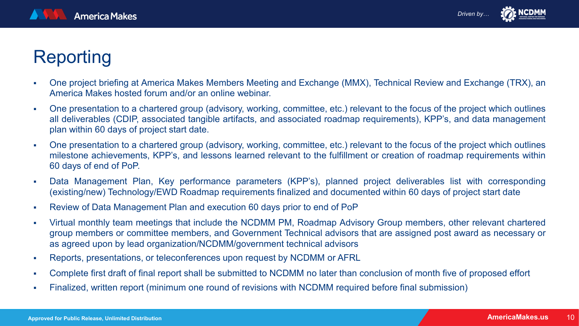

# Reporting

- One project briefing at America Makes Members Meeting and Exchange (MMX), Technical Review and Exchange (TRX), an America Makes hosted forum and/or an online webinar.
- One presentation to a chartered group (advisory, working, committee, etc.) relevant to the focus of the project which outlines all deliverables (CDIP, associated tangible artifacts, and associated roadmap requirements), KPP's, and data management plan within 60 days of project start date.
- One presentation to a chartered group (advisory, working, committee, etc.) relevant to the focus of the project which outlines milestone achievements, KPP's, and lessons learned relevant to the fulfillment or creation of roadmap requirements within 60 days of end of PoP.
- Data Management Plan, Key performance parameters (KPP's), planned project deliverables list with corresponding (existing/new) Technology/EWD Roadmap requirements finalized and documented within 60 days of project start date
- Review of Data Management Plan and execution 60 days prior to end of PoP
- Virtual monthly team meetings that include the NCDMM PM, Roadmap Advisory Group members, other relevant chartered group members or committee members, and Government Technical advisors that are assigned post award as necessary or as agreed upon by lead organization/NCDMM/government technical advisors
- Reports, presentations, or teleconferences upon request by NCDMM or AFRL
- Complete first draft of final report shall be submitted to NCDMM no later than conclusion of month five of proposed effort
- Finalized, written report (minimum one round of revisions with NCDMM required before final submission)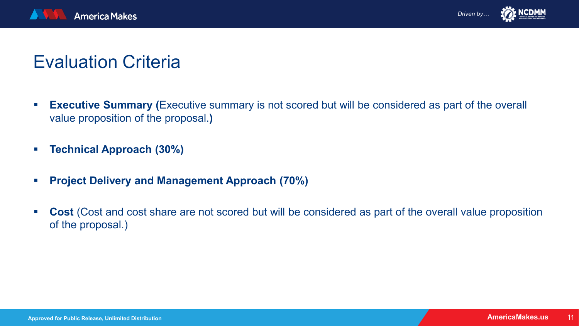

# Evaluation Criteria

- **Executive Summary (**Executive summary is not scored but will be considered as part of the overall value proposition of the proposal.**)**
- **Technical Approach (30%)**
- **Project Delivery and Management Approach (70%)**
- **Cost** (Cost and cost share are not scored but will be considered as part of the overall value proposition of the proposal.)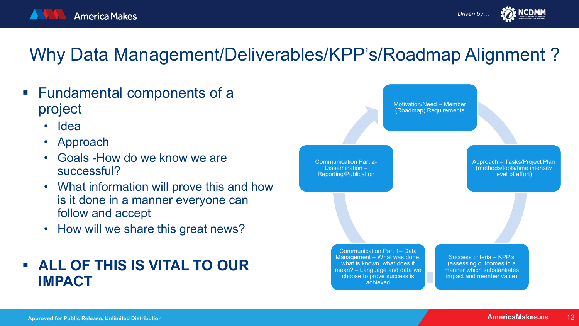



- Fundamental components of a project
	- Idea
	- Approach
	- Goals -How do we know we are successful?
	- What information will prove this and how is it done in a manner everyone can follow and accept
	- How will we share this great news?

#### **ALL OF THIS IS VITAL TO OUR IMPACT**



*Driven by…*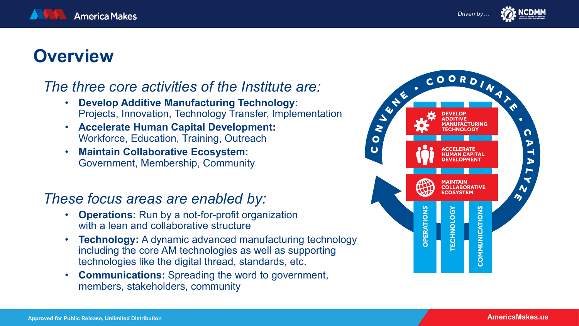# **Overview**

#### *The three core activities of the Institute are:*

- **Develop Additive Manufacturing Technology:**  Projects, Innovation, Technology Transfer, Implementation
- **Accelerate Human Capital Development:**  Workforce, Education, Training, Outreach
- **Maintain Collaborative Ecosystem:**  Government, Membership, Community

#### *These focus areas are enabled by:*

- **Operations:** Run by a not-for-profit organization with a lean and collaborative structure
- **Technology:** A dynamic advanced manufacturing technology including the core AM technologies as well as supporting technologies like the digital thread, standards, etc.
- **Communications:** Spreading the word to government, members, stakeholders, community

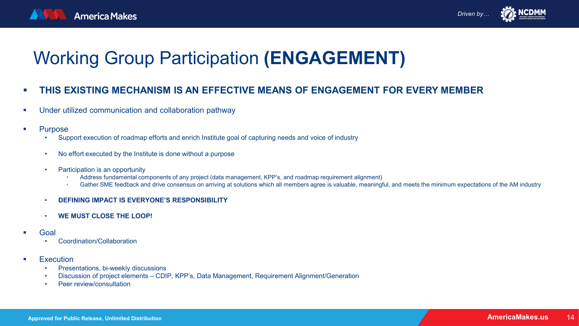# Working Group Participation **(ENGAGEMENT)**

- **THIS EXISTING MECHANISM IS AN EFFECTIVE MEANS OF ENGAGEMENT FOR EVERY MEMBER**
- **Under utilized communication and collaboration pathway**
- **Purpose** 
	- Support execution of roadmap efforts and enrich Institute goal of capturing needs and voice of industry
	- No effort executed by the Institute is done without a purpose
	- Participation is an opportunity
		- Address fundamental components of any project (data management, KPP's, and roadmap requirement alignment)
		- Gather SME feedback and drive consensus on arriving at solutions which all members agree is valuable, meaningful, and meets the minimum expectations of the AM industry
	- **DEFINING IMPACT IS EVERYONE'S RESPONSIBILITY**
	- **WE MUST CLOSE THE LOOP!**
- Goal
	- Coordination/Collaboration
- **Execution** 
	- Presentations, bi-weekly discussions
	- Discussion of project elements CDIP, KPP's, Data Management, Requirement Alignment/Generation
	- Peer review/consultation